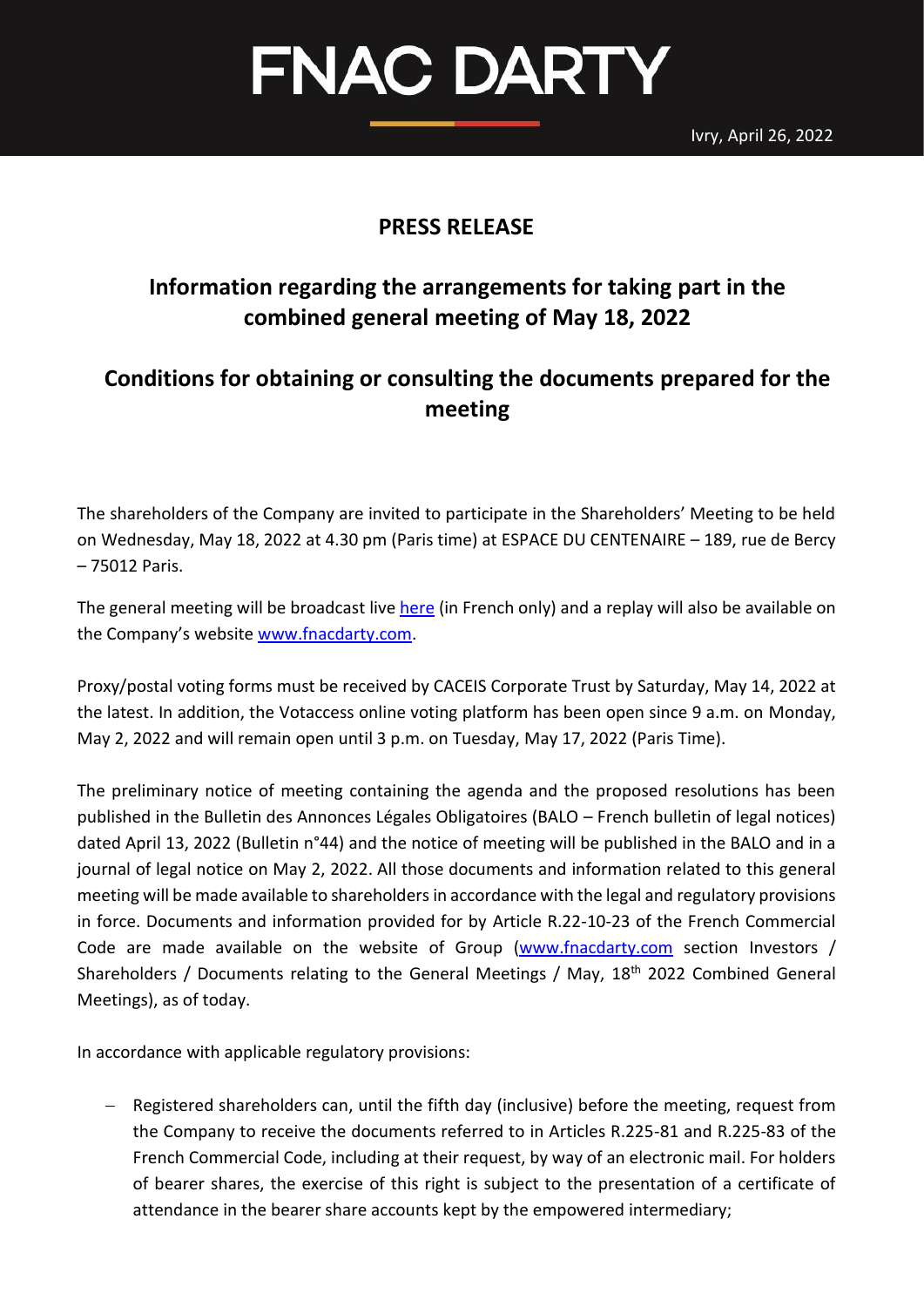Ivry, April 26, 2022

# FNAC DARTY

#### **PRESS RELEASE**

## **Information regarding the arrangements for taking part in the combined general meeting of May 18, 2022**

### **Conditions for obtaining or consulting the documents prepared for the meeting**

The shareholders of the Company are invited to participate in the Shareholders' Meeting to be held on Wednesday, May 18, 2022 at 4.30 pm (Paris time) at ESPACE DU CENTENAIRE – 189, rue de Bercy – 75012 Paris.

The general meeting will be broadcast liv[e here](https://channel.royalcast.com/landingpage/fnacdartyfr/20220518_1/) (in French only) and a replay will also be available on the Company's website [www.fnacdarty.com.](http://www.fnacdarty.com/)

Proxy/postal voting forms must be received by CACEIS Corporate Trust by Saturday, May 14, 2022 at the latest. In addition, the Votaccess online voting platform has been open since 9 a.m. on Monday, May 2, 2022 and will remain open until 3 p.m. on Tuesday, May 17, 2022 (Paris Time).

The preliminary notice of meeting containing the agenda and the proposed resolutions has been published in the Bulletin des Annonces Légales Obligatoires (BALO – French bulletin of legal notices) dated April 13, 2022 (Bulletin n°44) and the notice of meeting will be published in the BALO and in a journal of legal notice on May 2, 2022. All those documents and information related to this general meeting will be made available to shareholders in accordance with the legal and regulatory provisions in force. Documents and information provided for by Article R.22-10-23 of the French Commercial Code are made available on the website of Group [\(www.fnacdarty.com](http://www.fnacdarty.com/) section Investors / Shareholders / Documents relating to the General Meetings / May, 18<sup>th</sup> 2022 Combined General Meetings), as of today.

In accordance with applicable regulatory provisions:

− Registered shareholders can, until the fifth day (inclusive) before the meeting, request from the Company to receive the documents referred to in Articles R.225-81 and R.225-83 of the French Commercial Code, including at their request, by way of an electronic mail. For holders of bearer shares, the exercise of this right is subject to the presentation of a certificate of attendance in the bearer share accounts kept by the empowered intermediary;